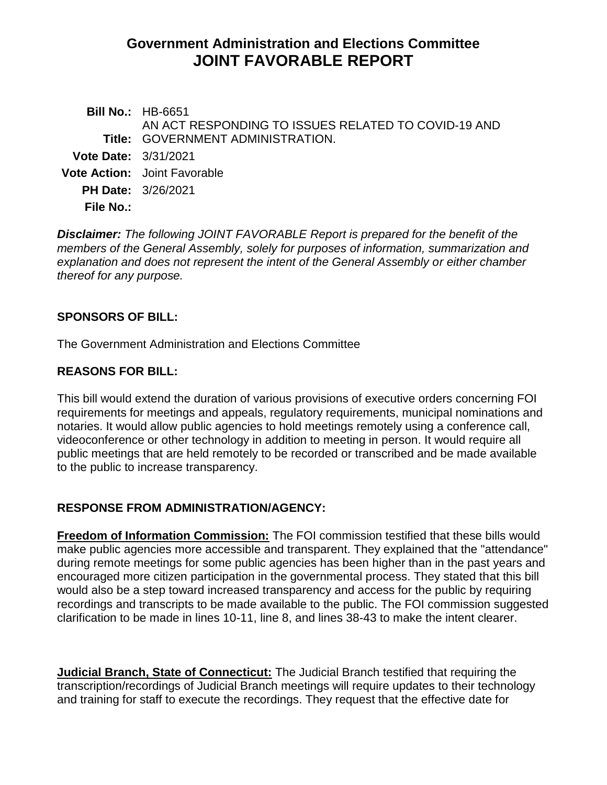# **Government Administration and Elections Committee JOINT FAVORABLE REPORT**

**Bill No.:** HB-6651 **Title:** GOVERNMENT ADMINISTRATION. AN ACT RESPONDING TO ISSUES RELATED TO COVID-19 AND **Vote Date:** 3/31/2021 **Vote Action:** Joint Favorable **PH Date:** 3/26/2021 **File No.:**

*Disclaimer: The following JOINT FAVORABLE Report is prepared for the benefit of the members of the General Assembly, solely for purposes of information, summarization and explanation and does not represent the intent of the General Assembly or either chamber thereof for any purpose.*

#### **SPONSORS OF BILL:**

The Government Administration and Elections Committee

#### **REASONS FOR BILL:**

This bill would extend the duration of various provisions of executive orders concerning FOI requirements for meetings and appeals, regulatory requirements, municipal nominations and notaries. It would allow public agencies to hold meetings remotely using a conference call, videoconference or other technology in addition to meeting in person. It would require all public meetings that are held remotely to be recorded or transcribed and be made available to the public to increase transparency.

## **RESPONSE FROM ADMINISTRATION/AGENCY:**

**Freedom of Information Commission:** The FOI commission testified that these bills would make public agencies more accessible and transparent. They explained that the "attendance" during remote meetings for some public agencies has been higher than in the past years and encouraged more citizen participation in the governmental process. They stated that this bill would also be a step toward increased transparency and access for the public by requiring recordings and transcripts to be made available to the public. The FOI commission suggested clarification to be made in lines 10-11, line 8, and lines 38-43 to make the intent clearer.

**Judicial Branch, State of Connecticut:** The Judicial Branch testified that requiring the transcription/recordings of Judicial Branch meetings will require updates to their technology and training for staff to execute the recordings. They request that the effective date for